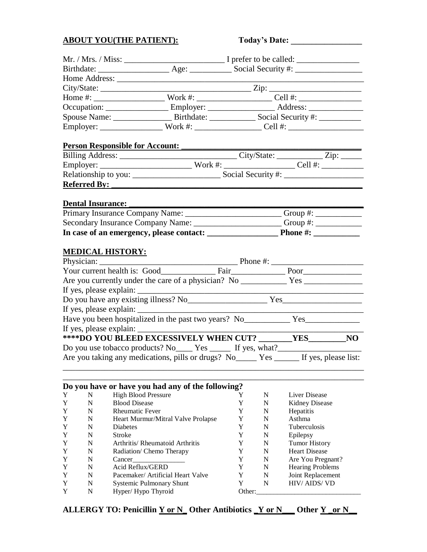# **ABOUT YOU(THE PATIENT):** Today

| <b>Today's Date:</b> |  |
|----------------------|--|
|----------------------|--|

|                                                                                                                                                                                                                                |                                    |                                                                                                     |        | $City/State:$ $\_\_\_\_\_\_\_\_\_\_\_$ $\_\_\_\_\_\_$ |  |  |
|--------------------------------------------------------------------------------------------------------------------------------------------------------------------------------------------------------------------------------|------------------------------------|-----------------------------------------------------------------------------------------------------|--------|-------------------------------------------------------|--|--|
|                                                                                                                                                                                                                                |                                    |                                                                                                     |        |                                                       |  |  |
|                                                                                                                                                                                                                                |                                    |                                                                                                     |        |                                                       |  |  |
|                                                                                                                                                                                                                                |                                    | Occupation: ________________________Employer: ________________________Address: ____________________ |        |                                                       |  |  |
|                                                                                                                                                                                                                                |                                    |                                                                                                     |        |                                                       |  |  |
|                                                                                                                                                                                                                                |                                    |                                                                                                     |        | Employer: Work #: Cell #:                             |  |  |
|                                                                                                                                                                                                                                |                                    |                                                                                                     |        |                                                       |  |  |
| <b>Person Responsible for Account:</b>                                                                                                                                                                                         |                                    |                                                                                                     |        |                                                       |  |  |
|                                                                                                                                                                                                                                |                                    |                                                                                                     |        |                                                       |  |  |
|                                                                                                                                                                                                                                |                                    |                                                                                                     |        |                                                       |  |  |
|                                                                                                                                                                                                                                |                                    |                                                                                                     |        |                                                       |  |  |
| Referred By: Network of the Second Second Second Second Second Second Second Second Second Second Second Second Second Second Second Second Second Second Second Second Second Second Second Second Second Second Second Secon |                                    |                                                                                                     |        |                                                       |  |  |
|                                                                                                                                                                                                                                |                                    |                                                                                                     |        |                                                       |  |  |
| Dental Insurance:                                                                                                                                                                                                              |                                    |                                                                                                     |        |                                                       |  |  |
| Primary Insurance Company Name: __________________________Group #: _____________                                                                                                                                               |                                    |                                                                                                     |        |                                                       |  |  |
| Secondary Insurance Company Name: ______________________Group #: _______________                                                                                                                                               |                                    |                                                                                                     |        |                                                       |  |  |
| In case of an emergency, please contact: Phone #: Phone #:                                                                                                                                                                     |                                    |                                                                                                     |        |                                                       |  |  |
|                                                                                                                                                                                                                                |                                    |                                                                                                     |        |                                                       |  |  |
| <u>MEDICAL HISTORY:</u>                                                                                                                                                                                                        |                                    |                                                                                                     |        |                                                       |  |  |
|                                                                                                                                                                                                                                |                                    |                                                                                                     |        |                                                       |  |  |
|                                                                                                                                                                                                                                |                                    |                                                                                                     |        |                                                       |  |  |
|                                                                                                                                                                                                                                |                                    |                                                                                                     |        |                                                       |  |  |
|                                                                                                                                                                                                                                |                                    |                                                                                                     |        |                                                       |  |  |
|                                                                                                                                                                                                                                |                                    |                                                                                                     |        |                                                       |  |  |
|                                                                                                                                                                                                                                |                                    |                                                                                                     |        |                                                       |  |  |
|                                                                                                                                                                                                                                |                                    |                                                                                                     |        |                                                       |  |  |
|                                                                                                                                                                                                                                |                                    |                                                                                                     |        |                                                       |  |  |
| ****DO YOU BLEED EXCESSIVELY WHEN CUT? _______YES________NO                                                                                                                                                                    |                                    |                                                                                                     |        |                                                       |  |  |
| Do you use tobacco products? No______ Yes _______ If yes, what?_________________                                                                                                                                               |                                    |                                                                                                     |        |                                                       |  |  |
| Are you taking any medications, pills or drugs? No<br>Yes  If yes, please list:                                                                                                                                                |                                    |                                                                                                     |        |                                                       |  |  |
|                                                                                                                                                                                                                                |                                    |                                                                                                     |        |                                                       |  |  |
|                                                                                                                                                                                                                                |                                    |                                                                                                     |        |                                                       |  |  |
| Do you have or have you had any of the following?                                                                                                                                                                              |                                    |                                                                                                     |        |                                                       |  |  |
| <b>High Blood Pressure</b><br>N<br>Y                                                                                                                                                                                           |                                    | Y                                                                                                   | N      | Liver Disease                                         |  |  |
| <b>Blood Disease</b><br>Y<br>N                                                                                                                                                                                                 |                                    | Y                                                                                                   | N      | <b>Kidney Disease</b>                                 |  |  |
| <b>Rheumatic Fever</b><br>Y<br>N                                                                                                                                                                                               |                                    | Y                                                                                                   | N      | Hepatitis                                             |  |  |
| Y<br>N                                                                                                                                                                                                                         | Heart Murmur/Mitral Valve Prolapse | Y                                                                                                   | N      | Asthma                                                |  |  |
| Y<br>N<br>Diabetes                                                                                                                                                                                                             |                                    | Y                                                                                                   | N      | <b>Tuberculosis</b>                                   |  |  |
| Y<br>N<br>Stroke                                                                                                                                                                                                               |                                    | Y                                                                                                   | N      | Epilepsy                                              |  |  |
| Y<br>N                                                                                                                                                                                                                         | Arthritis/ Rheumatoid Arthritis    | Y                                                                                                   | N      | <b>Tumor History</b>                                  |  |  |
| Y<br>N<br>N                                                                                                                                                                                                                    | Radiation/ Chemo Therapy           | Y                                                                                                   | N      | <b>Heart Disease</b>                                  |  |  |
| Y<br>Cancer<br>Acid Reflux/GERD<br>N<br>Y                                                                                                                                                                                      |                                    | Y<br>Y                                                                                              | N<br>N | Are You Pregnant?<br><b>Hearing Problems</b>          |  |  |
| N<br>Y                                                                                                                                                                                                                         | Pacemaker/ Artificial Heart Valve  | Y                                                                                                   | N      | Joint Replacement                                     |  |  |
| N<br>Y                                                                                                                                                                                                                         | Systemic Pulmonary Shunt           | Y                                                                                                   | N      | HIV/ AIDS/ VD                                         |  |  |
| N<br>Hyper/Hypo Thyroid<br>Y                                                                                                                                                                                                   |                                    | Other:                                                                                              |        |                                                       |  |  |

## **ALLERGY TO: Penicillin Y or N\_ Other Antibiotics \_Y or N\_\_\_ Other Y \_or N\_\_**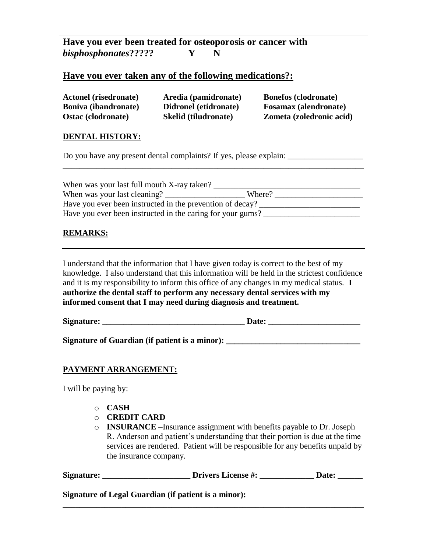# **Have you ever been treated for osteoporosis or cancer with**  *bisphosphonates***????? Y N**

## **Have you ever taken any of the following medications?:**

| <b>Actonel (risedronate)</b> | Aredia (pamidronate)        | <b>Bonefos (clodronate)</b>  |
|------------------------------|-----------------------------|------------------------------|
| <b>Boniva (ibandronate)</b>  | Didronel (etidronate)       | <b>Fosamax</b> (alendronate) |
| <b>Ostac (clodronate)</b>    | <b>Skelid</b> (tiludronate) | Zometa (zoledronic acid)     |

#### **DENTAL HISTORY:**

Do you have any present dental complaints? If yes, please explain:

| When was your last full mouth X-ray taken?                 |        |  |  |
|------------------------------------------------------------|--------|--|--|
| When was your last cleaning?                               | Where? |  |  |
| Have you ever been instructed in the prevention of decay?  |        |  |  |
| Have you ever been instructed in the caring for your gums? |        |  |  |

\_\_\_\_\_\_\_\_\_\_\_\_\_\_\_\_\_\_\_\_\_\_\_\_\_\_\_\_\_\_\_\_\_\_\_\_\_\_\_\_\_\_\_\_\_\_\_\_\_\_\_\_\_\_\_\_\_\_\_\_\_\_\_\_\_\_\_\_\_\_\_\_

### **REMARKS:**

I understand that the information that I have given today is correct to the best of my knowledge. I also understand that this information will be held in the strictest confidence and it is my responsibility to inform this office of any changes in my medical status. **I authorize the dental staff to perform any necessary dental services with my informed consent that I may need during diagnosis and treatment.**

**Signature:**  $\qquad \qquad$  Date:

**Signature of Guardian (if patient is a minor): \_\_\_\_\_\_\_\_\_\_\_\_\_\_\_\_\_\_\_\_\_\_\_\_\_\_\_\_\_\_\_\_**

#### **PAYMENT ARRANGEMENT:**

I will be paying by:

- o **CASH**
- o **CREDIT CARD**
- o **INSURANCE** –Insurance assignment with benefits payable to Dr. Joseph R. Anderson and patient's understanding that their portion is due at the time services are rendered. Patient will be responsible for any benefits unpaid by the insurance company.

Signature: \_\_\_\_\_\_\_\_\_\_\_\_\_\_\_\_\_\_\_\_\_\_\_\_Drivers License #: \_\_\_\_\_\_\_\_\_\_\_\_\_\_\_Date: \_\_\_\_\_\_

**\_\_\_\_\_\_\_\_\_\_\_\_\_\_\_\_\_\_\_\_\_\_\_\_\_\_\_\_\_\_\_\_\_\_\_\_\_\_\_\_\_\_\_\_\_\_\_\_\_\_\_\_\_\_\_\_\_\_\_\_\_\_\_\_\_\_\_\_\_\_\_\_**

**Signature of Legal Guardian (if patient is a minor):**